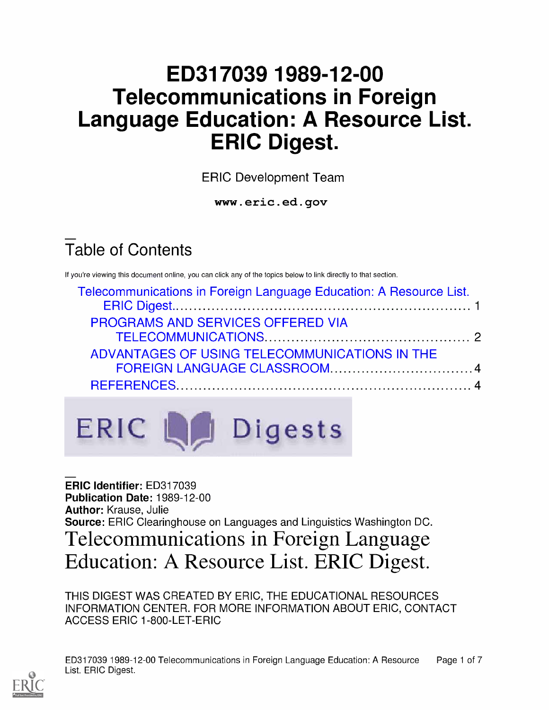# ED317039 1989-12-00 Telecommunications in Foreign Language Education: A Resource List. ERIC Digest.

ERIC Development Team

www.eric.ed.gov

# Table of Contents

If you're viewing this document online, you can click any of the topics below to link directly to that section.

| Telecommunications in Foreign Language Education: A Resource List. |  |
|--------------------------------------------------------------------|--|
|                                                                    |  |
| PROGRAMS AND SERVICES OFFERED VIA                                  |  |
|                                                                    |  |
| ADVANTAGES OF USING TELECOMMUNICATIONS IN THE                      |  |
|                                                                    |  |
|                                                                    |  |
|                                                                    |  |

ERIC 4 Digests

ERIC Identifier: ED317039 Publication Date: 1989-12-00 Author: Krause, Julie Source: ERIC Clearinghouse on Languages and Linguistics Washington DC. Telecommunications in Foreign Language Education: A Resource List. ERIC Digest.

THIS DIGEST WAS CREATED BY ERIC, THE EDUCATIONAL RESOURCES INFORMATION CENTER. FOR MORE INFORMATION ABOUT ERIC, CONTACT ACCESS ERIC 1-800-LET-ERIC

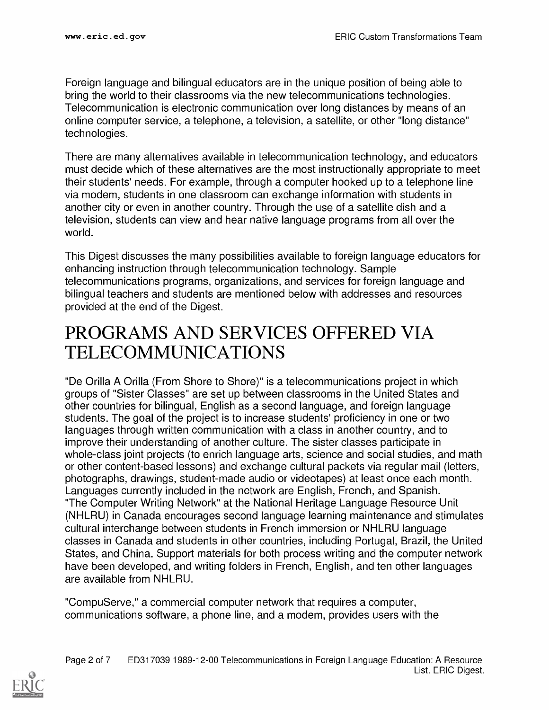Foreign language and bilingual educators are in the unique position of being able to bring the world to their classrooms via the new telecommunications technologies. Telecommunication is electronic communication over long distances by means of an online computer service, a telephone, a television, a satellite, or other "long distance" technologies.

There are many alternatives available in telecommunication technology, and educators must decide which of these alternatives are the most instructionally appropriate to meet their students' needs. For example, through a computer hooked up to a telephone line via modem, students in one classroom can exchange information with students in another city or even in another country. Through the use of a satellite dish and a television, students can view and hear native language programs from all over the world.

This Digest discusses the many possibilities available to foreign language educators for enhancing instruction through telecommunication technology. Sample telecommunications programs, organizations, and services for foreign language and bilingual teachers and students are mentioned below with addresses and resources provided at the end of the Digest.

## PROGRAMS AND SERVICES OFFERED VIA TELECOMMUNICATIONS

"De Orilla A Orilla (From Shore to Shore)" is a telecommunications project in which groups of "Sister Classes" are set up between classrooms in the United States and other countries for bilingual, English as a second language, and foreign language students. The goal of the project is to increase students' proficiency in one or two languages through written communication with a class in another country, and to improve their understanding of another culture. The sister classes participate in whole-class joint projects (to enrich language arts, science and social studies, and math or other content-based lessons) and exchange cultural packets via regular mail (letters, photographs, drawings, student-made audio or videotapes) at least once each month. Languages currently included in the network are English, French, and Spanish. "The Computer Writing Network" at the National Heritage Language Resource Unit (NHLRU) in Canada encourages second language learning maintenance and stimulates cultural interchange between students in French immersion or NHLRU language classes in Canada and students in other countries, including Portugal, Brazil, the United States, and China. Support materials for both process writing and the computer network have been developed, and writing folders in French, English, and ten other languages are available from NHLRU.

"CompuServe," a commercial computer network that requires a computer, communications software, a phone line, and a modem, provides users with the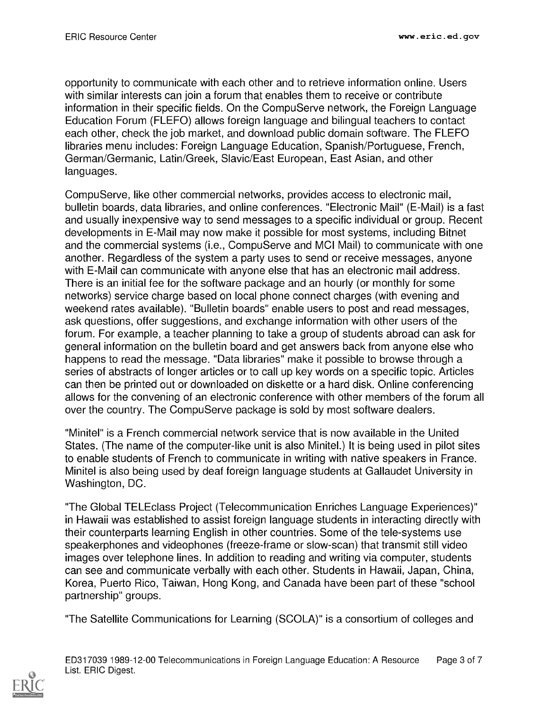opportunity to communicate with each other and to retrieve information online. Users with similar interests can join a forum that enables them to receive or contribute information in their specific fields. On the CompuServe network, the Foreign Language Education Forum (FLEFO) allows foreign language and bilingual teachers to contact each other, check the job market, and download public domain software. The FLEFO libraries menu includes: Foreign Language Education, Spanish/Portuguese, French, German/Germanic, Latin/Greek, Slavic/East European, East Asian, and other languages.

CompuServe, like other commercial networks, provides access to electronic mail, bulletin boards, data libraries, and online conferences. "Electronic Mail" (E-Mail) is a fast and usually inexpensive way to send messages to a specific individual or group. Recent developments in E-Mail may now make it possible for most systems, including Bitnet and the commercial systems (i.e., CompuServe and MCI Mail) to communicate with one another. Regardless of the system a party uses to send or receive messages, anyone with E-Mail can communicate with anyone else that has an electronic mail address. There is an initial fee for the software package and an hourly (or monthly for some networks) service charge based on local phone connect charges (with evening and weekend rates available). "Bulletin boards" enable users to post and read messages, ask questions, offer suggestions, and exchange information with other users of the forum. For example, a teacher planning to take a group of students abroad can ask for general information on the bulletin board and get answers back from anyone else who happens to read the message. "Data libraries" make it possible to browse through a series of abstracts of longer articles or to call up key words on a specific topic. Articles can then be printed out or downloaded on diskette or a hard disk. Online conferencing allows for the convening of an electronic conference with other members of the forum all over the country. The CompuServe package is sold by most software dealers.

"Minitel" is a French commercial network service that is now available in the United States. (The name of the computer-like unit is also Minitel.) It is being used in pilot sites to enable students of French to communicate in writing with native speakers in France. Minitel is also being used by deaf foreign language students at Gallaudet University in Washington, DC.

"The Global TELEclass Project (Telecommunication Enriches Language Experiences)" in Hawaii was established to assist foreign language students in interacting directly with their counterparts learning English in other countries. Some of the tele-systems use speakerphones and videophones (freeze-frame or slow-scan) that transmit still video images over telephone lines. In addition to reading and writing via computer, students can see and communicate verbally with each other. Students in Hawaii, Japan, China, Korea, Puerto Rico, Taiwan, Hong Kong, and Canada have been part of these "school partnership" groups.

"The Satellite Communications for Learning (SCOLA)" is a consortium of colleges and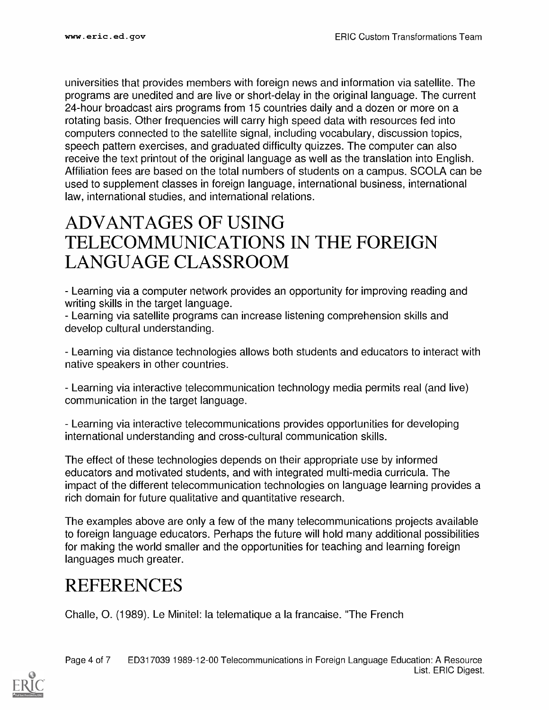universities that provides members with foreign news and information via satellite. The programs are unedited and are live or short-delay in the original language. The current 24-hour broadcast airs programs from 15 countries daily and a dozen or more on a rotating basis. Other frequencies will carry high speed data with resources fed into computers connected to the satellite signal, including vocabulary, discussion topics, speech pattern exercises, and graduated difficulty quizzes. The computer can also receive the text printout of the original language as well as the translation into English. Affiliation fees are based on the total numbers of students on a campus. SCOLA can be used to supplement classes in foreign language, international business, international law, international studies, and international relations.

### ADVANTAGES OF USING TELECOMMUNICATIONS IN THE FOREIGN LANGUAGE CLASSROOM

Learning via a computer network provides an opportunity for improving reading and writing skills in the target language.

Learning via satellite programs can increase listening comprehension skills and develop cultural understanding.

Learning via distance technologies allows both students and educators to interact with native speakers in other countries.

Learning via interactive telecommunication technology media permits real (and live) communication in the target language.

Learning via interactive telecommunications provides opportunities for developing international understanding and cross-cultural communication skills.

The effect of these technologies depends on their appropriate use by informed educators and motivated students, and with integrated multi-media curricula. The impact of the different telecommunication technologies on language learning provides a rich domain for future qualitative and quantitative research.

The examples above are only a few of the many telecommunications projects available to foreign language educators. Perhaps the future will hold many additional possibilities for making the world smaller and the opportunities for teaching and learning foreign languages much greater.

## **REFERENCES**

Challe, 0. (1989). Le Minitel: la telematique a la francaise. "The French

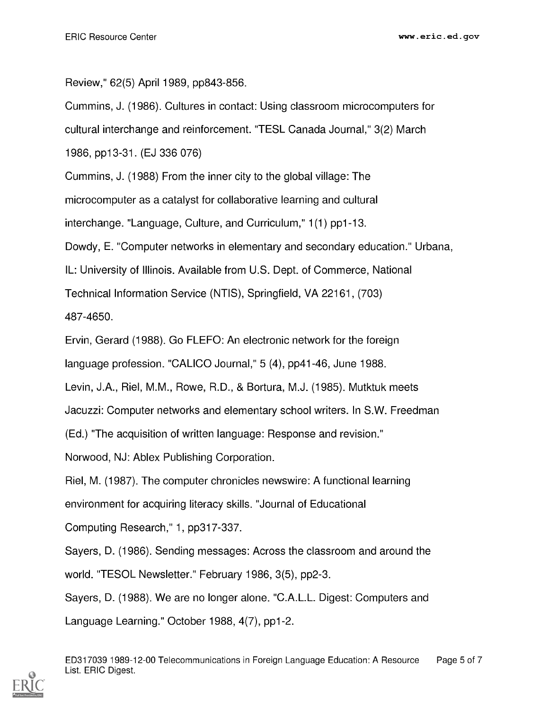Review," 62(5) April 1989, pp843-856.

Cummins, J. (1986). Cultures in contact: Using classroom microcomputers for

cultural interchange and reinforcement. "TESL Canada Journal," 3(2) March

1986, pp13-31. (EJ 336 076)

Cummins, J. (1988) From the inner city to the global village: The

microcomputer as a catalyst for collaborative learning and cultural

interchange. "Language, Culture, and Curriculum," 1(1) pp1-13.

Dowdy, E. "Computer networks in elementary and secondary education." Urbana,

IL: University of Illinois. Available from U.S. Dept. of Commerce, National

Technical Information Service (NTIS), Springfield, VA 22161, (703)

487-4650.

Ervin, Gerard (1988). Go FLEFO: An electronic network for the foreign

language profession. "CALICO Journal," 5 (4), pp41-46, June 1988.

Levin, J.A., Riel, M.M., Rowe, R.D., & Bortura, M.J. (1985). Mutktuk meets

Jacuzzi: Computer networks and elementary school writers. In S.W. Freedman

(Ed.) "The acquisition of written language: Response and revision."

Norwood, NJ: Ablex Publishing Corporation.

Riel, M. (1987). The computer chronicles newswire: A functional learning

environment for acquiring literacy skills. "Journal of Educational

Computing Research," 1, pp317-337.

Sayers, D. (1986). Sending messages: Across the classroom and around the world. "TESOL Newsletter." February 1986, 3(5), pp2-3.

Sayers, D. (1988). We are no longer alone. "C.A.L.L. Digest: Computers and

Language Learning." October 1988, 4(7), pp1-2.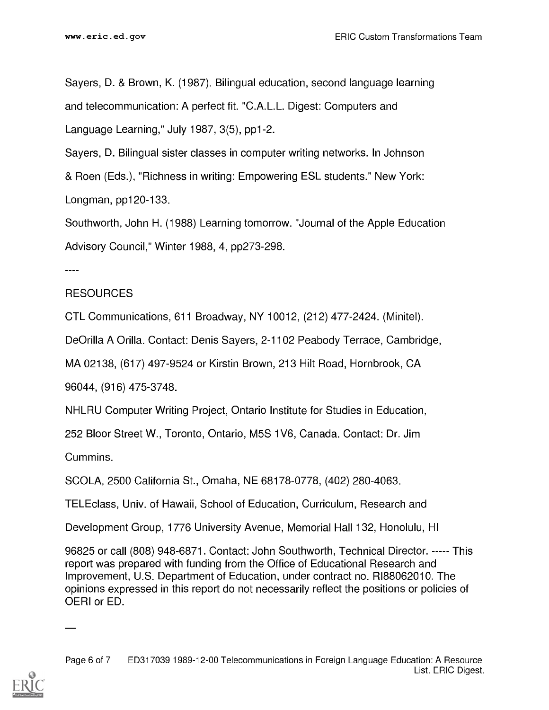Sayers, D. & Brown, K. (1987). Bilingual education, second language learning and telecommunication: A perfect fit. "C.A.L.L. Digest: Computers and Language Learning," July 1987, 3(5), pp1-2.

Sayers, D. Bilingual sister classes in computer writing networks. In Johnson & Roen (Eds.), "Richness in writing: Empowering ESL students." New York: Longman, pp120-133.

Southworth, John H. (1988) Learning tomorrow. "Journal of the Apple Education Advisory Council," Winter 1988, 4, pp273-298.

----

#### RESOURCES

CTL Communications, 611 Broadway, NY 10012, (212) 477-2424. (Minitel).

De Orilla A Orilla. Contact: Denis Sayers, 2-1102 Peabody Terrace, Cambridge,

MA 02138, (617) 497-9524 or Kirstin Brown, 213 Hilt Road, Hornbrook, CA

96044, (916) 475-3748.

NHLRU Computer Writing Project, Ontario Institute for Studies in Education,

252 Bloor Street W., Toronto, Ontario, M5S 1V6, Canada. Contact: Dr. Jim

Cummins.

SCOLA, 2500 California St., Omaha, NE 68178-0778, (402) 280-4063.

TELEclass, Univ. of Hawaii, School of Education, Curriculum, Research and

Development Group, 1776 University Avenue, Memorial Hall 132, Honolulu, HI

96825 or call (808) 948-6871. Contact: John Southworth, Technical Director. This report was prepared with funding from the Office of Educational Research and Improvement, U.S. Department of Education, under contract no. RI88062010. The opinions expressed in this report do not necessarily reflect the positions or policies of OERI or ED.